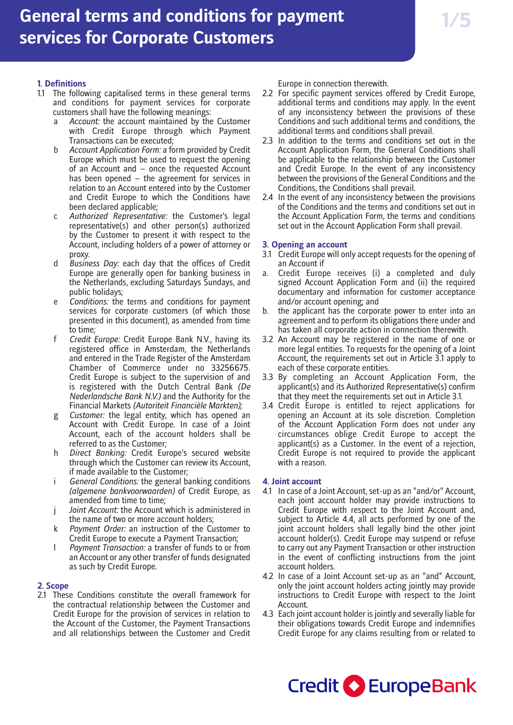## **1. Definitions**

- 1.1 The following capitalised terms in these general terms and conditions for payment services for corporate customers shall have the following meanings:
	- a *Account:* the account maintained by the Customer with Credit Europe through which Payment Transactions can be executed;
	- Account Application Form: a form provided by Credit Europe which must be used to request the opening of an Account and – once the requested Account has been opened – the agreement for services in relation to an Account entered into by the Customer and Credit Europe to which the Conditions have been declared applicable;
	- c *Authorized Representative:* the Customer's legal representative(s) and other person(s) authorized by the Customer to present it with respect to the Account, including holders of a power of attorney or proxy.
	- d *Business Day:* each day that the offices of Credit Europe are generally open for banking business in the Netherlands, excluding Saturdays Sundays, and public holidays;
	- Conditions: the terms and conditions for payment services for corporate customers (of which those presented in this document), as amended from time to time;
	- f *Credit Europe:* Credit Europe Bank N.V., having its registered office in Amsterdam, the Netherlands and entered in the Trade Register of the Amsterdam Chamber of Commerce under no 33256675. Credit Europe is subject to the supervision of and is registered with the Dutch Central Bank *(De Nederlandsche Bank N.V.)* and the Authority for the Financial Markets *(Autoriteit Financiële Markten);*
	- g *Customer:* the legal entity, which has opened an Account with Credit Europe. In case of a Joint Account, each of the account holders shall be referred to as the Customer;
	- h *Direct Banking:* Credit Europe's secured website through which the Customer can review its Account, if made available to the Customer;
	- i *General Conditions:* the general banking conditions *(algemene bankvoorwaarden)* of Credit Europe, as amended from time to time;
	- j *Joint Account:* the Account which is administered in the name of two or more account holders;
	- k *Payment Order:* an instruction of the Customer to Credit Europe to execute a Payment Transaction;
	- l *Payment Transaction:* a transfer of funds to or from an Account or any other transfer of funds designated as such by Credit Europe.

## **2. Scope**

2.1 These Conditions constitute the overall framework for the contractual relationship between the Customer and Credit Europe for the provision of services in relation to the Account of the Customer, the Payment Transactions and all relationships between the Customer and Credit

Europe in connection therewith.

- 2.2 For specific payment services offered by Credit Europe, additional terms and conditions may apply. In the event of any inconsistency between the provisions of these Conditions and such additional terms and conditions, the additional terms and conditions shall prevail.
- 2.3 In addition to the terms and conditions set out in the Account Application Form, the General Conditions shall be applicable to the relationship between the Customer and Credit Europe. In the event of any inconsistency between the provisions of the General Conditions and the Conditions, the Conditions shall prevail.
- 2.4 In the event of any inconsistency between the provisions of the Conditions and the terms and conditions set out in the Account Application Form, the terms and conditions set out in the Account Application Form shall prevail.

## **3. Opening an account**

- 3.1 Credit Europe will only accept requests for the opening of an Account if
- a. Credit Europe receives (i) a completed and duly signed Account Application Form and (ii) the required documentary and information for customer acceptance and/or account opening; and
- b. the applicant has the corporate power to enter into an agreement and to perform its obligations there under and has taken all corporate action in connection therewith.
- 3.2 An Account may be registered in the name of one or more legal entities. To requests for the opening of a Joint Account, the requirements set out in Article 3.1 apply to each of these corporate entities.
- 3.3 By completing an Account Application Form, the applicant(s) and its Authorized Representative(s) confirm that they meet the requirements set out in Article 3.1.
- 3.4 Credit Europe is entitled to reject applications for opening an Account at its sole discretion. Completion of the Account Application Form does not under any circumstances oblige Credit Europe to accept the applicant(s) as a Customer. In the event of a rejection, Credit Europe is not required to provide the applicant with a reason.

## **4. Joint account**

- 4.1 In case of a Joint Account, set-up as an "and/or" Account, each joint account holder may provide instructions to Credit Europe with respect to the Joint Account and, subject to Article 4.4, all acts performed by one of the joint account holders shall legally bind the other joint account holder(s). Credit Europe may suspend or refuse to carry out any Payment Transaction or other instruction in the event of conflicting instructions from the joint account holders.
- 4.2 In case of a Joint Account set-up as an "and" Account, only the joint account holders acting jointly may provide instructions to Credit Europe with respect to the Joint Account.
- 4.3 Each joint account holder is jointly and severally liable for their obligations towards Credit Europe and indemnifies Credit Europe for any claims resulting from or related to

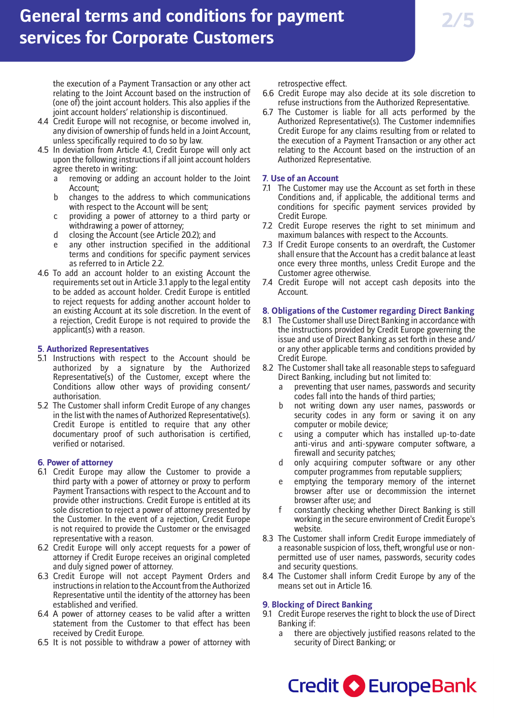the execution of a Payment Transaction or any other act relating to the Joint Account based on the instruction of (one of) the joint account holders. This also applies if the joint account holders' relationship is discontinued.

- 4.4 Credit Europe will not recognise, or become involved in, any division of ownership of funds held in a Joint Account, unless specifically required to do so by law.
- 4.5 In deviation from Article 4.1, Credit Europe will only act upon the following instructions if all joint account holders agree thereto in writing:
	- a removing or adding an account holder to the Joint Account;
	- b changes to the address to which communications with respect to the Account will be sent;
	- c providing a power of attorney to a third party or withdrawing a power of attorney;
	- d closing the Account (see Article 20.2); and
	- e any other instruction specified in the additional terms and conditions for specific payment services as referred to in Article 2.2.
- 4.6 To add an account holder to an existing Account the requirements set out in Article 3.1 apply to the legal entity to be added as account holder. Credit Europe is entitled to reject requests for adding another account holder to an existing Account at its sole discretion. In the event of a rejection, Credit Europe is not required to provide the applicant(s) with a reason.

## **5. Authorized Representatives**

- 5.1 Instructions with respect to the Account should be authorized by a signature by the Authorized Representative(s) of the Customer, except where the Conditions allow other ways of providing consent/ authorisation.
- 5.2 The Customer shall inform Credit Europe of any changes in the list with the names of Authorized Representative(s). Credit Europe is entitled to require that any other documentary proof of such authorisation is certified, verified or notarised.

## **6. Power of attorney**

- 6.1 Credit Europe may allow the Customer to provide a third party with a power of attorney or proxy to perform Payment Transactions with respect to the Account and to provide other instructions. Credit Europe is entitled at its sole discretion to reject a power of attorney presented by the Customer. In the event of a rejection, Credit Europe is not required to provide the Customer or the envisaged representative with a reason.
- 6.2 Credit Europe will only accept requests for a power of attorney if Credit Europe receives an original completed and duly signed power of attorney.
- 6.3 Credit Europe will not accept Payment Orders and instructions in relation to the Account from the Authorized Representative until the identity of the attorney has been established and verified.
- 6.4 A power of attorney ceases to be valid after a written statement from the Customer to that effect has been received by Credit Europe.
- 6.5 It is not possible to withdraw a power of attorney with

retrospective effect.

- 6.6 Credit Europe may also decide at its sole discretion to refuse instructions from the Authorized Representative.
- 6.7 The Customer is liable for all acts performed by the Authorized Representative(s). The Customer indemnifies Credit Europe for any claims resulting from or related to the execution of a Payment Transaction or any other act relating to the Account based on the instruction of an Authorized Representative.

## **7. Use of an Account**

- 7.1 The Customer may use the Account as set forth in these Conditions and, if applicable, the additional terms and conditions for specific payment services provided by Credit Europe.
- 7.2 Credit Europe reserves the right to set minimum and maximum balances with respect to the Accounts.
- 7.3 If Credit Europe consents to an overdraft, the Customer shall ensure that the Account has a credit balance at least once every three months, unless Credit Europe and the Customer agree otherwise.
- 7.4 Credit Europe will not accept cash deposits into the Account.

## **8. Obligations of the Customer regarding Direct Banking**

- 8.1 The Customer shall use Direct Banking in accordance with the instructions provided by Credit Europe governing the issue and use of Direct Banking as set forth in these and/ or any other applicable terms and conditions provided by Credit Europe.
- 8.2 The Customer shall take all reasonable steps to safeguard Direct Banking, including but not limited to:
	- a preventing that user names, passwords and security codes fall into the hands of third parties;
	- b not writing down any user names, passwords or security codes in any form or saving it on any computer or mobile device;
	- c using a computer which has installed up-to-date anti-virus and anti-spyware computer software, a firewall and security patches;
	- d only acquiring computer software or any other computer programmes from reputable suppliers;
	- e emptying the temporary memory of the internet browser after use or decommission the internet browser after use; and
	- f constantly checking whether Direct Banking is still working in the secure environment of Credit Europe's website.
- 8.3 The Customer shall inform Credit Europe immediately of a reasonable suspicion of loss, theft, wrongful use or nonpermitted use of user names, passwords, security codes and security questions.
- 8.4 The Customer shall inform Credit Europe by any of the means set out in Article 16.

### **9. Blocking of Direct Banking**

- 9.1 Credit Europe reserves the right to block the use of Direct Banking if:
	- there are objectively justified reasons related to the security of Direct Banking; or

Credit C EuropeBank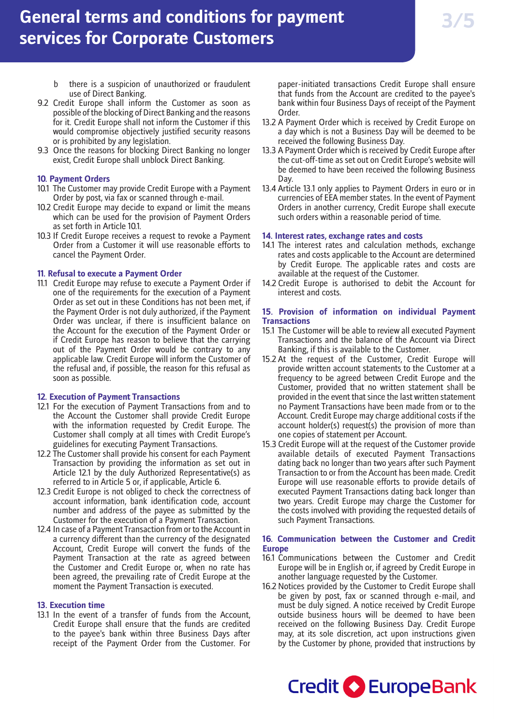- b there is a suspicion of unauthorized or fraudulent use of Direct Banking.
- 9.2 Credit Europe shall inform the Customer as soon as possible of the blocking of Direct Banking and the reasons for it. Credit Europe shall not inform the Customer if this would compromise objectively justified security reasons or is prohibited by any legislation.
- 9.3 Once the reasons for blocking Direct Banking no longer exist, Credit Europe shall unblock Direct Banking.

## **10. Payment Orders**

- 10.1 The Customer may provide Credit Europe with a Payment Order by post, via fax or scanned through e-mail.
- 10.2 Credit Europe may decide to expand or limit the means which can be used for the provision of Payment Orders as set forth in Article 10.1.
- 10.3 If Credit Europe receives a request to revoke a Payment Order from a Customer it will use reasonable efforts to cancel the Payment Order.

### **11. Refusal to execute a Payment Order**

11.1 Credit Europe may refuse to execute a Payment Order if one of the requirements for the execution of a Payment Order as set out in these Conditions has not been met, if the Payment Order is not duly authorized, if the Payment Order was unclear, if there is insufficient balance on the Account for the execution of the Payment Order or if Credit Europe has reason to believe that the carrying out of the Payment Order would be contrary to any applicable law. Credit Europe will inform the Customer of the refusal and, if possible, the reason for this refusal as soon as possible.

#### **12. Execution of Payment Transactions**

- 12.1 For the execution of Payment Transactions from and to the Account the Customer shall provide Credit Europe with the information requested by Credit Europe. The Customer shall comply at all times with Credit Europe's guidelines for executing Payment Transactions.
- 12.2 The Customer shall provide his consent for each Payment Transaction by providing the information as set out in Article 12.1 by the duly Authorized Representative(s) as referred to in Article 5 or, if applicable, Article 6.
- 12.3 Credit Europe is not obliged to check the correctness of account information, bank identification code, account number and address of the payee as submitted by the Customer for the execution of a Payment Transaction.
- 12.4 In case of a Payment Transaction from or to the Account in a currency different than the currency of the designated Account, Credit Europe will convert the funds of the Payment Transaction at the rate as agreed between the Customer and Credit Europe or, when no rate has been agreed, the prevailing rate of Credit Europe at the moment the Payment Transaction is executed.

### **13. Execution time**

13.1 In the event of a transfer of funds from the Account, Credit Europe shall ensure that the funds are credited to the payee's bank within three Business Days after receipt of the Payment Order from the Customer. For paper-initiated transactions Credit Europe shall ensure that funds from the Account are credited to the payee's bank within four Business Days of receipt of the Payment Order.

- 13.2 A Payment Order which is received by Credit Europe on a day which is not a Business Day will be deemed to be received the following Business Day.
- 13.3 A Payment Order which is received by Credit Europe after the cut-off-time as set out on Credit Europe's website will be deemed to have been received the following Business Day.
- 13.4 Article 13.1 only applies to Payment Orders in euro or in currencies of EEA member states. In the event of Payment Orders in another currency, Credit Europe shall execute such orders within a reasonable period of time.

### **14. Interest rates, exchange rates and costs**

- 14.1 The interest rates and calculation methods, exchange rates and costs applicable to the Account are determined by Credit Europe. The applicable rates and costs are available at the request of the Customer.
- 14.2 Credit Europe is authorised to debit the Account for interest and costs.

## **15. Provision of information on individual Payment Transactions**

- 15.1 The Customer will be able to review all executed Payment Transactions and the balance of the Account via Direct Banking, if this is available to the Customer.
- 15.2 At the request of the Customer, Credit Europe will provide written account statements to the Customer at a frequency to be agreed between Credit Europe and the Customer, provided that no written statement shall be provided in the event that since the last written statement no Payment Transactions have been made from or to the Account. Credit Europe may charge additional costs if the account holder(s) request(s) the provision of more than one copies of statement per Account.
- 15.3 Credit Europe will at the request of the Customer provide available details of executed Payment Transactions dating back no longer than two years after such Payment Transaction to or from the Account has been made. Credit Europe will use reasonable efforts to provide details of executed Payment Transactions dating back longer than two years. Credit Europe may charge the Customer for the costs involved with providing the requested details of such Payment Transactions.

### **16. Communication between the Customer and Credit Europe**

- 16.1 Communications between the Customer and Credit Europe will be in English or, if agreed by Credit Europe in another language requested by the Customer.
- 16.2 Notices provided by the Customer to Credit Europe shall be given by post, fax or scanned through e-mail, and must be duly signed. A notice received by Credit Europe outside business hours will be deemed to have been received on the following Business Day. Credit Europe may, at its sole discretion, act upon instructions given by the Customer by phone, provided that instructions by

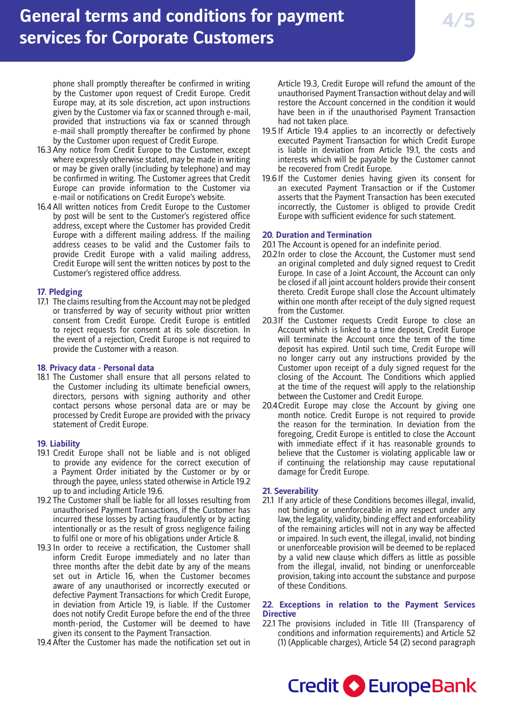phone shall promptly thereafter be confirmed in writing by the Customer upon request of Credit Europe. Credit Europe may, at its sole discretion, act upon instructions given by the Customer via fax or scanned through e-mail, provided that instructions via fax or scanned through e-mail shall promptly thereafter be confirmed by phone by the Customer upon request of Credit Europe.

- 16.3 Any notice from Credit Europe to the Customer, except where expressly otherwise stated, may be made in writing or may be given orally (including by telephone) and may be confirmed in writing. The Customer agrees that Credit Europe can provide information to the Customer via e-mail or notifications on Credit Europe's website.
- 16.4 All written notices from Credit Europe to the Customer by post will be sent to the Customer's registered office address, except where the Customer has provided Credit Europe with a different mailing address. If the mailing address ceases to be valid and the Customer fails to provide Credit Europe with a valid mailing address, Credit Europe will sent the written notices by post to the Customer's registered office address.

## **17. Pledging**

17.1 The claims resulting from the Account may not be pledged or transferred by way of security without prior written consent from Credit Europe. Credit Europe is entitled to reject requests for consent at its sole discretion. In the event of a rejection, Credit Europe is not required to provide the Customer with a reason.

## **18. Privacy data - Personal data**

18.1 The Customer shall ensure that all persons related to the Customer including its ultimate beneficial owners, directors, persons with signing authority and other contact persons whose personal data are or may be processed by Credit Europe are provided with the privacy statement of Credit Europe.

## **19. Liability**

- 19.1 Credit Europe shall not be liable and is not obliged to provide any evidence for the correct execution of a Payment Order initiated by the Customer or by or through the payee, unless stated otherwise in Article 19.2 up to and including Article 19.6.
- 19.2 The Customer shall be liable for all losses resulting from unauthorised Payment Transactions, if the Customer has incurred these losses by acting fraudulently or by acting intentionally or as the result of gross negligence failing to fulfil one or more of his obligations under Article 8.
- 19.3 In order to receive a rectification, the Customer shall inform Credit Europe immediately and no later than three months after the debit date by any of the means set out in Article 16, when the Customer becomes aware of any unauthorised or incorrectly executed or defective Payment Transactions for which Credit Europe, in deviation from Article 19, is liable. If the Customer does not notify Credit Europe before the end of the three month-period, the Customer will be deemed to have given its consent to the Payment Transaction.
- 19.4 After the Customer has made the notification set out in

Article 19.3, Credit Europe will refund the amount of the unauthorised Payment Transaction without delay and will restore the Account concerned in the condition it would have been in if the unauthorised Payment Transaction had not taken place.

- 19.5 If Article 19.4 applies to an incorrectly or defectively executed Payment Transaction for which Credit Europe is liable in deviation from Article 19.1, the costs and interests which will be payable by the Customer cannot be recovered from Credit Europe.
- 19.6If the Customer denies having given its consent for an executed Payment Transaction or if the Customer asserts that the Payment Transaction has been executed incorrectly, the Customer is obliged to provide Credit Europe with sufficient evidence for such statement.

## **20. Duration and Termination**

- 20.1 The Account is opened for an indefinite period.
- 20.2In order to close the Account, the Customer must send an original completed and duly signed request to Credit Europe. In case of a Joint Account, the Account can only be closed if all joint account holders provide their consent thereto. Credit Europe shall close the Account ultimately within one month after receipt of the duly signed request from the Customer.
- 20.3If the Customer requests Credit Europe to close an Account which is linked to a time deposit, Credit Europe will terminate the Account once the term of the time deposit has expired. Until such time, Credit Europe will no longer carry out any instructions provided by the Customer upon receipt of a duly signed request for the closing of the Account. The Conditions which applied at the time of the request will apply to the relationship between the Customer and Credit Europe.
- 20.4Credit Europe may close the Account by giving one month notice. Credit Europe is not required to provide the reason for the termination. In deviation from the foregoing, Credit Europe is entitled to close the Account with immediate effect if it has reasonable grounds to believe that the Customer is violating applicable law or if continuing the relationship may cause reputational damage for Credit Europe.

## **21. Severability**

21.1 If any article of these Conditions becomes illegal, invalid, not binding or unenforceable in any respect under any law, the legality, validity, binding effect and enforceability of the remaining articles will not in any way be affected or impaired. In such event, the illegal, invalid, not binding or unenforceable provision will be deemed to be replaced by a valid new clause which differs as little as possible from the illegal, invalid, not binding or unenforceable provision, taking into account the substance and purpose of these Conditions.

## **22. Exceptions in relation to the Payment Services Directive**

22.1 The provisions included in Title III (Transparency of conditions and information requirements) and Article 52 (1) (Applicable charges), Article 54 (2) second paragraph

Credit C EuropeBank